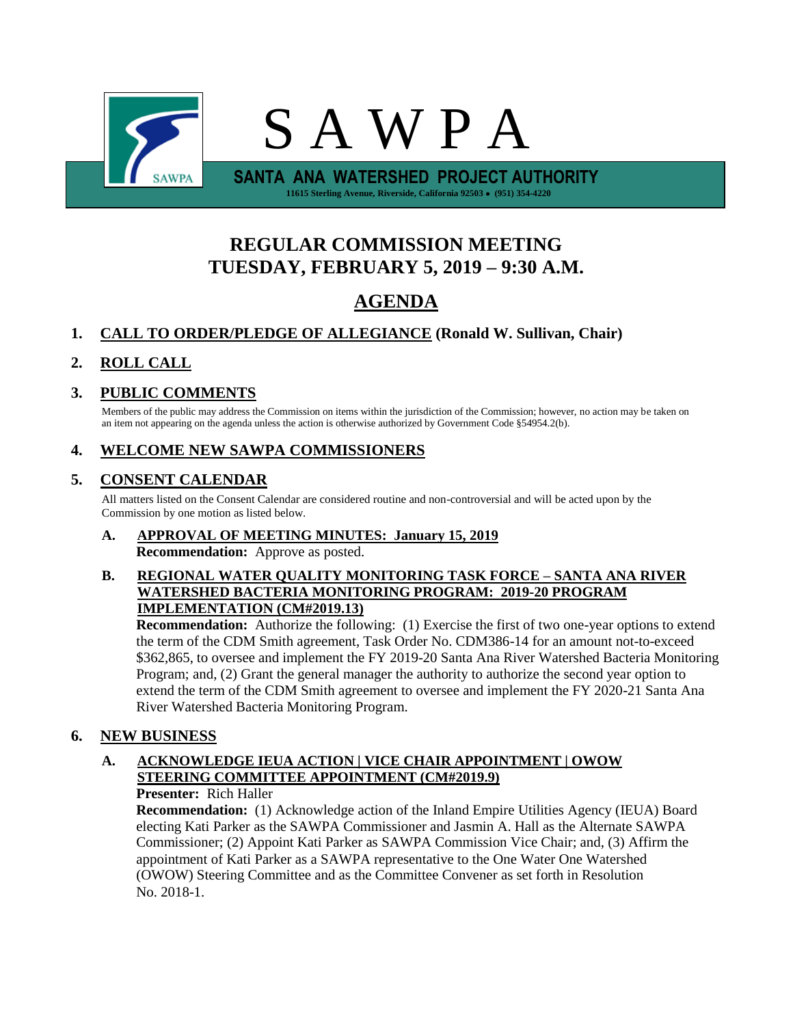

# **REGULAR COMMISSION MEETING TUESDAY, FEBRUARY 5, 2019 – 9:30 A.M.**

# **AGENDA**

# **1. CALL TO ORDER/PLEDGE OF ALLEGIANCE (Ronald W. Sullivan, Chair)**

# **2. ROLL CALL**

# **3. PUBLIC COMMENTS**

Members of the public may address the Commission on items within the jurisdiction of the Commission; however, no action may be taken on an item not appearing on the agenda unless the action is otherwise authorized by Government Code §54954.2(b).

## **4. WELCOME NEW SAWPA COMMISSIONERS**

# **5. CONSENT CALENDAR**

All matters listed on the Consent Calendar are considered routine and non-controversial and will be acted upon by the Commission by one motion as listed below.

#### **A. APPROVAL OF MEETING MINUTES: January 15, 2019 Recommendation:** Approve as posted.

#### **B. REGIONAL WATER QUALITY MONITORING TASK FORCE – SANTA ANA RIVER WATERSHED BACTERIA MONITORING PROGRAM: 2019-20 PROGRAM IMPLEMENTATION (CM#2019.13)**

**Recommendation:** Authorize the following: (1) Exercise the first of two one-year options to extend the term of the CDM Smith agreement, Task Order No. CDM386-14 for an amount not-to-exceed \$362,865, to oversee and implement the FY 2019-20 Santa Ana River Watershed Bacteria Monitoring Program; and, (2) Grant the general manager the authority to authorize the second year option to extend the term of the CDM Smith agreement to oversee and implement the FY 2020-21 Santa Ana River Watershed Bacteria Monitoring Program.

## **6. NEW BUSINESS**

#### **A. ACKNOWLEDGE IEUA ACTION | VICE CHAIR APPOINTMENT | OWOW STEERING COMMITTEE APPOINTMENT (CM#2019.9) Presenter:** Rich Haller

**Recommendation:** (1) Acknowledge action of the Inland Empire Utilities Agency (IEUA) Board electing Kati Parker as the SAWPA Commissioner and Jasmin A. Hall as the Alternate SAWPA Commissioner; (2) Appoint Kati Parker as SAWPA Commission Vice Chair; and, (3) Affirm the appointment of Kati Parker as a SAWPA representative to the One Water One Watershed (OWOW) Steering Committee and as the Committee Convener as set forth in Resolution No. 2018-1.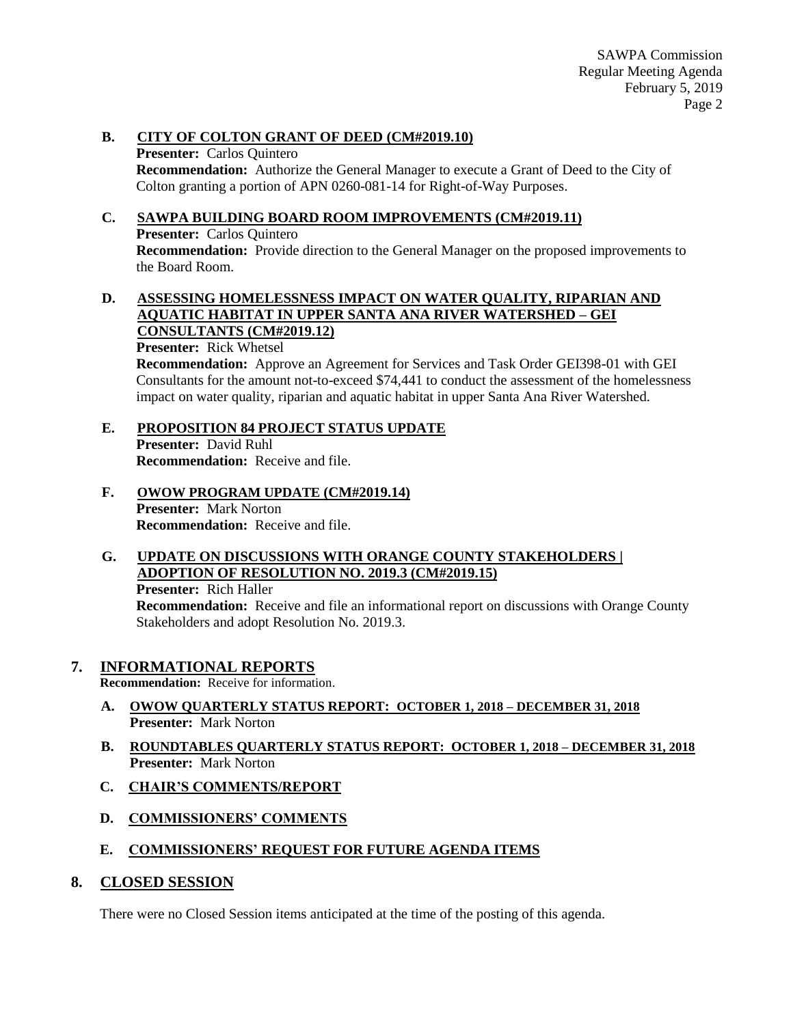#### **B. CITY OF COLTON GRANT OF DEED (CM#2019.10)**

**Presenter:** Carlos Quintero **Recommendation:** Authorize the General Manager to execute a Grant of Deed to the City of Colton granting a portion of APN 0260-081-14 for Right-of-Way Purposes.

### **C. SAWPA BUILDING BOARD ROOM IMPROVEMENTS (CM#2019.11)**

**Presenter:** Carlos Quintero

**Recommendation:** Provide direction to the General Manager on the proposed improvements to the Board Room.

#### **D. ASSESSING HOMELESSNESS IMPACT ON WATER QUALITY, RIPARIAN AND AQUATIC HABITAT IN UPPER SANTA ANA RIVER WATERSHED – GEI CONSULTANTS (CM#2019.12)**

**Presenter:** Rick Whetsel

**Recommendation:** Approve an Agreement for Services and Task Order GEI398-01 with GEI Consultants for the amount not-to-exceed \$74,441 to conduct the assessment of the homelessness impact on water quality, riparian and aquatic habitat in upper Santa Ana River Watershed.

## **E. PROPOSITION 84 PROJECT STATUS UPDATE**

**Presenter:** David Ruhl **Recommendation:** Receive and file.

**F. OWOW PROGRAM UPDATE (CM#2019.14) Presenter:** Mark Norton **Recommendation:** Receive and file.

#### **G. UPDATE ON DISCUSSIONS WITH ORANGE COUNTY STAKEHOLDERS | ADOPTION OF RESOLUTION NO. 2019.3 (CM#2019.15) Presenter:** Rich Haller

**Recommendation:** Receive and file an informational report on discussions with Orange County Stakeholders and adopt Resolution No. 2019.3.

## **7. INFORMATIONAL REPORTS**

**Recommendation:** Receive for information.

- **A. OWOW QUARTERLY STATUS REPORT: OCTOBER 1, 2018 – DECEMBER 31, 2018 Presenter:** Mark Norton
- **B. ROUNDTABLES QUARTERLY STATUS REPORT: OCTOBER 1, 2018 – DECEMBER 31, 2018 Presenter:** Mark Norton
- **C. CHAIR'S COMMENTS/REPORT**
- **D. COMMISSIONERS' COMMENTS**

## **E. COMMISSIONERS' REQUEST FOR FUTURE AGENDA ITEMS**

## **8. CLOSED SESSION**

There were no Closed Session items anticipated at the time of the posting of this agenda.